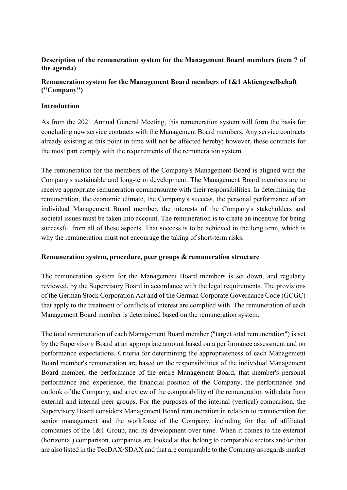### **Description of the remuneration system for the Management Board members (item 7 of the agenda)**

### **Remuneration system for the Management Board members of 1&1 Aktiengesellschaft ("Company")**

### **Introduction**

As from the 2021 Annual General Meeting, this remuneration system will form the basis for concluding new service contracts with the Management Board members. Any service contracts already existing at this point in time will not be affected hereby; however, these contracts for the most part comply with the requirements of the remuneration system.

The remuneration for the members of the Company's Management Board is aligned with the Company's sustainable and long-term development. The Management Board members are to receive appropriate remuneration commensurate with their responsibilities. In determining the remuneration, the economic climate, the Company's success, the personal performance of an individual Management Board member, the interests of the Company's stakeholders and societal issues must be taken into account. The remuneration is to create an incentive for being successful from all of these aspects. That success is to be achieved in the long term, which is why the remuneration must not encourage the taking of short-term risks.

#### **Remuneration system, procedure, peer groups & remuneration structure**

The remuneration system for the Management Board members is set down, and regularly reviewed, by the Supervisory Board in accordance with the legal requirements. The provisions of the German Stock Corporation Act and of the German Corporate Governance Code (GCGC) that apply to the treatment of conflicts of interest are complied with. The remuneration of each Management Board member is determined based on the remuneration system.

The total remuneration of each Management Board member ("target total remuneration") is set by the Supervisory Board at an appropriate amount based on a performance assessment and on performance expectations. Criteria for determining the appropriateness of each Management Board member's remuneration are based on the responsibilities of the individual Management Board member, the performance of the entire Management Board, that member's personal performance and experience, the financial position of the Company, the performance and outlook of the Company, and a review of the comparability of the remuneration with data from external and internal peer groups. For the purposes of the internal (vertical) comparison, the Supervisory Board considers Management Board remuneration in relation to remuneration for senior management and the workforce of the Company, including for that of affiliated companies of the 1&1 Group, and its development over time. When it comes to the external (horizontal) comparison, companies are looked at that belong to comparable sectors and/or that are also listed in the TecDAX/SDAX and that are comparable to the Company as regards market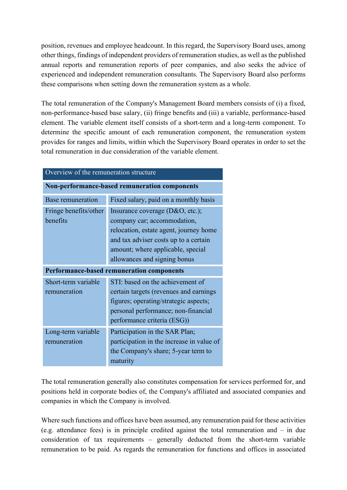position, revenues and employee headcount. In this regard, the Supervisory Board uses, among other things, findings of independent providers of remuneration studies, as well as the published annual reports and remuneration reports of peer companies, and also seeks the advice of experienced and independent remuneration consultants. The Supervisory Board also performs these comparisons when setting down the remuneration system as a whole.

The total remuneration of the Company's Management Board members consists of (i) a fixed, non-performance-based base salary, (ii) fringe benefits and (iii) a variable, performance-based element. The variable element itself consists of a short-term and a long-term component. To determine the specific amount of each remuneration component, the remuneration system provides for ranges and limits, within which the Supervisory Board operates in order to set the total remuneration in due consideration of the variable element.

| Overview of the remuneration structure        |                                                                                                                                                                                                                        |  |  |  |
|-----------------------------------------------|------------------------------------------------------------------------------------------------------------------------------------------------------------------------------------------------------------------------|--|--|--|
| Non-performance-based remuneration components |                                                                                                                                                                                                                        |  |  |  |
| Base remuneration                             | Fixed salary, paid on a monthly basis                                                                                                                                                                                  |  |  |  |
| Fringe benefits/other<br>benefits             | Insurance coverage (D&O, etc.);<br>company car; accommodation,<br>relocation, estate agent, journey home<br>and tax adviser costs up to a certain<br>amount; where applicable, special<br>allowances and signing bonus |  |  |  |
| Performance-based remuneration components     |                                                                                                                                                                                                                        |  |  |  |
| Short-term variable<br>remuneration           | STI: based on the achievement of<br>certain targets (revenues and earnings<br>figures; operating/strategic aspects;<br>personal performance; non-financial<br>performance criteria (ESG))                              |  |  |  |
| Long-term variable<br>remuneration            | Participation in the SAR Plan;<br>participation in the increase in value of<br>the Company's share; 5-year term to<br>maturity                                                                                         |  |  |  |

The total remuneration generally also constitutes compensation for services performed for, and positions held in corporate bodies of, the Company's affiliated and associated companies and companies in which the Company is involved.

Where such functions and offices have been assumed, any remuneration paid for these activities (e.g. attendance fees) is in principle credited against the total remuneration and – in due consideration of tax requirements – generally deducted from the short-term variable remuneration to be paid. As regards the remuneration for functions and offices in associated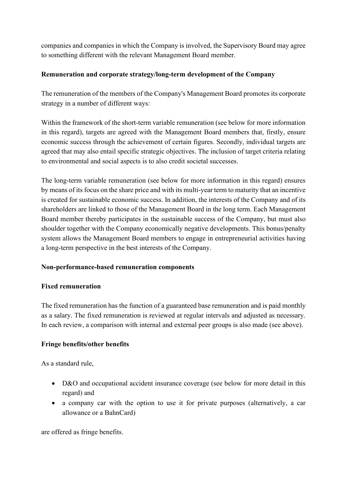companies and companies in which the Company is involved, the Supervisory Board may agree to something different with the relevant Management Board member.

### **Remuneration and corporate strategy/long-term development of the Company**

The remuneration of the members of the Company's Management Board promotes its corporate strategy in a number of different ways:

Within the framework of the short-term variable remuneration (see below for more information in this regard), targets are agreed with the Management Board members that, firstly, ensure economic success through the achievement of certain figures. Secondly, individual targets are agreed that may also entail specific strategic objectives. The inclusion of target criteria relating to environmental and social aspects is to also credit societal successes.

The long-term variable remuneration (see below for more information in this regard) ensures by means of its focus on the share price and with its multi-year term to maturity that an incentive is created for sustainable economic success. In addition, the interests of the Company and of its shareholders are linked to those of the Management Board in the long term. Each Management Board member thereby participates in the sustainable success of the Company, but must also shoulder together with the Company economically negative developments. This bonus/penalty system allows the Management Board members to engage in entrepreneurial activities having a long-term perspective in the best interests of the Company.

## **Non-performance-based remuneration components**

### **Fixed remuneration**

The fixed remuneration has the function of a guaranteed base remuneration and is paid monthly as a salary. The fixed remuneration is reviewed at regular intervals and adjusted as necessary. In each review, a comparison with internal and external peer groups is also made (see above).

## **Fringe benefits/other benefits**

As a standard rule,

- D&O and occupational accident insurance coverage (see below for more detail in this regard) and
- a company car with the option to use it for private purposes (alternatively, a car allowance or a BahnCard)

are offered as fringe benefits.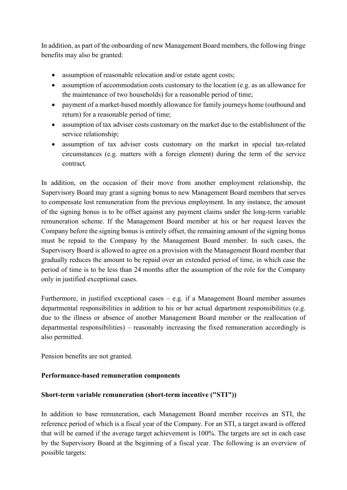In addition, as part of the onboarding of new Management Board members, the following fringe benefits may also be granted:

- assumption of reasonable relocation and/or estate agent costs;
- assumption of accommodation costs customary to the location (e.g. as an allowance for the maintenance of two households) for a reasonable period of time;
- payment of a market-based monthly allowance for family journeys home (outbound and return) for a reasonable period of time;
- assumption of tax adviser costs customary on the market due to the establishment of the service relationship;
- assumption of tax adviser costs customary on the market in special tax-related circumstances (e.g. matters with a foreign element) during the term of the service contract.

In addition, on the occasion of their move from another employment relationship, the Supervisory Board may grant a signing bonus to new Management Board members that serves to compensate lost remuneration from the previous employment. In any instance, the amount of the signing bonus is to be offset against any payment claims under the long-term variable remuneration scheme. If the Management Board member at his or her request leaves the Company before the signing bonus is entirely offset, the remaining amount of the signing bonus must be repaid to the Company by the Management Board member. In such cases, the Supervisory Board is allowed to agree on a provision with the Management Board member that gradually reduces the amount to be repaid over an extended period of time, in which case the period of time is to be less than 24 months after the assumption of the role for the Company only in justified exceptional cases.

Furthermore, in justified exceptional cases – e.g. if a Management Board member assumes departmental responsibilities in addition to his or her actual department responsibilities (e.g. due to the illness or absence of another Management Board member or the reallocation of departmental responsibilities) – reasonably increasing the fixed remuneration accordingly is also permitted.

Pension benefits are not granted.

### **Performance-based remuneration components**

### **Short-term variable remuneration (short-term incentive ("STI"))**

In addition to base remuneration, each Management Board member receives an STI, the reference period of which is a fiscal year of the Company. For an STI, a target award is offered that will be earned if the average target achievement is 100%. The targets are set in each case by the Supervisory Board at the beginning of a fiscal year. The following is an overview of possible targets: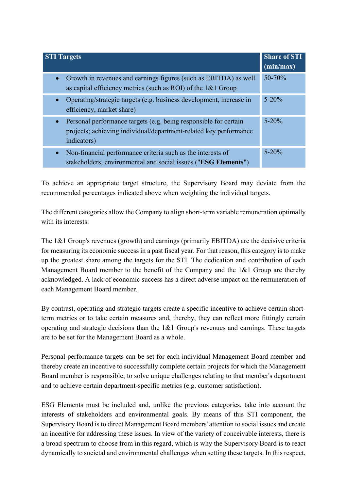| <b>STI Targets</b>                                                                                                                                                | <b>Share of STI</b><br>(min/max) |
|-------------------------------------------------------------------------------------------------------------------------------------------------------------------|----------------------------------|
| • Growth in revenues and earnings figures (such as EBITDA) as well<br>as capital efficiency metrics (such as ROI) of the $1& 1$ Group                             | $50 - 70%$                       |
| Operating/strategic targets (e.g. business development, increase in<br>$\bullet$<br>efficiency, market share)                                                     | $5 - 20%$                        |
| Personal performance targets (e.g. being responsible for certain<br>$\bullet$<br>projects; achieving individual/department-related key performance<br>indicators) | $5 - 20%$                        |
| Non-financial performance criteria such as the interests of<br>$\bullet$<br>stakeholders, environmental and social issues ("ESG Elements")                        | $5 - 20%$                        |

To achieve an appropriate target structure, the Supervisory Board may deviate from the recommended percentages indicated above when weighting the individual targets.

The different categories allow the Company to align short-term variable remuneration optimally with its interests:

The 1&1 Group's revenues (growth) and earnings (primarily EBITDA) are the decisive criteria for measuring its economic success in a past fiscal year. For that reason, this category is to make up the greatest share among the targets for the STI. The dedication and contribution of each Management Board member to the benefit of the Company and the 1&1 Group are thereby acknowledged. A lack of economic success has a direct adverse impact on the remuneration of each Management Board member.

By contrast, operating and strategic targets create a specific incentive to achieve certain shortterm metrics or to take certain measures and, thereby, they can reflect more fittingly certain operating and strategic decisions than the 1&1 Group's revenues and earnings. These targets are to be set for the Management Board as a whole.

Personal performance targets can be set for each individual Management Board member and thereby create an incentive to successfully complete certain projects for which the Management Board member is responsible; to solve unique challenges relating to that member's department and to achieve certain department-specific metrics (e.g. customer satisfaction).

ESG Elements must be included and, unlike the previous categories, take into account the interests of stakeholders and environmental goals. By means of this STI component, the Supervisory Board is to direct Management Board members' attention to social issues and create an incentive for addressing these issues. In view of the variety of conceivable interests, there is a broad spectrum to choose from in this regard, which is why the Supervisory Board is to react dynamically to societal and environmental challenges when setting these targets. In this respect,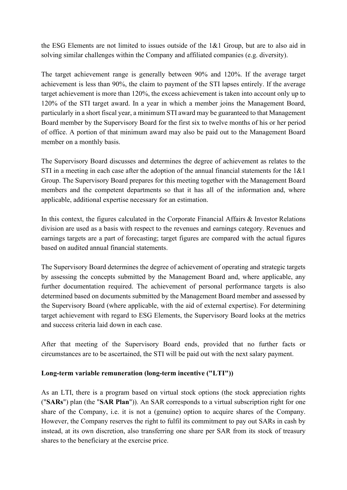the ESG Elements are not limited to issues outside of the 1&1 Group, but are to also aid in solving similar challenges within the Company and affiliated companies (e.g. diversity).

The target achievement range is generally between 90% and 120%. If the average target achievement is less than 90%, the claim to payment of the STI lapses entirely. If the average target achievement is more than 120%, the excess achievement is taken into account only up to 120% of the STI target award. In a year in which a member joins the Management Board, particularly in a short fiscal year, a minimum STI award may be guaranteed to that Management Board member by the Supervisory Board for the first six to twelve months of his or her period of office. A portion of that minimum award may also be paid out to the Management Board member on a monthly basis.

The Supervisory Board discusses and determines the degree of achievement as relates to the STI in a meeting in each case after the adoption of the annual financial statements for the 1&1 Group. The Supervisory Board prepares for this meeting together with the Management Board members and the competent departments so that it has all of the information and, where applicable, additional expertise necessary for an estimation.

In this context, the figures calculated in the Corporate Financial Affairs & Investor Relations division are used as a basis with respect to the revenues and earnings category. Revenues and earnings targets are a part of forecasting; target figures are compared with the actual figures based on audited annual financial statements.

The Supervisory Board determines the degree of achievement of operating and strategic targets by assessing the concepts submitted by the Management Board and, where applicable, any further documentation required. The achievement of personal performance targets is also determined based on documents submitted by the Management Board member and assessed by the Supervisory Board (where applicable, with the aid of external expertise). For determining target achievement with regard to ESG Elements, the Supervisory Board looks at the metrics and success criteria laid down in each case.

After that meeting of the Supervisory Board ends, provided that no further facts or circumstances are to be ascertained, the STI will be paid out with the next salary payment.

### **Long-term variable remuneration (long-term incentive ("LTI"))**

As an LTI, there is a program based on virtual stock options (the stock appreciation rights ("**SARs**") plan (the "**SAR Plan**")). An SAR corresponds to a virtual subscription right for one share of the Company, i.e. it is not a (genuine) option to acquire shares of the Company. However, the Company reserves the right to fulfil its commitment to pay out SARs in cash by instead, at its own discretion, also transferring one share per SAR from its stock of treasury shares to the beneficiary at the exercise price.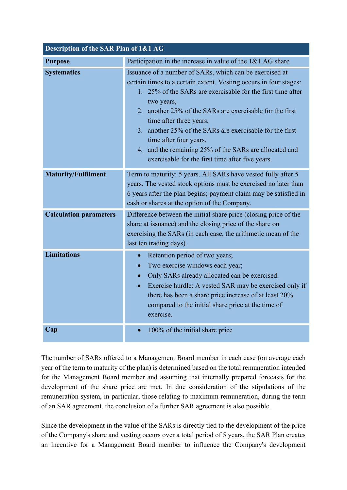| Description of the SAR Plan of 1&1 AG |                                                                                                                                                                                                                                                                                                                                                                                                                                                                                                      |  |  |  |
|---------------------------------------|------------------------------------------------------------------------------------------------------------------------------------------------------------------------------------------------------------------------------------------------------------------------------------------------------------------------------------------------------------------------------------------------------------------------------------------------------------------------------------------------------|--|--|--|
| <b>Purpose</b>                        | Participation in the increase in value of the $1& 1 \text{ A}G$ share                                                                                                                                                                                                                                                                                                                                                                                                                                |  |  |  |
| <b>Systematics</b>                    | Issuance of a number of SARs, which can be exercised at<br>certain times to a certain extent. Vesting occurs in four stages:<br>1. 25% of the SARs are exercisable for the first time after<br>two years,<br>2. another 25% of the SARs are exercisable for the first<br>time after three years,<br>3. another 25% of the SARs are exercisable for the first<br>time after four years,<br>4. and the remaining 25% of the SARs are allocated and<br>exercisable for the first time after five years. |  |  |  |
| <b>Maturity/Fulfilment</b>            | Term to maturity: 5 years. All SARs have vested fully after 5<br>years. The vested stock options must be exercised no later than<br>6 years after the plan begins; payment claim may be satisfied in<br>cash or shares at the option of the Company.                                                                                                                                                                                                                                                 |  |  |  |
| <b>Calculation parameters</b>         | Difference between the initial share price (closing price of the<br>share at issuance) and the closing price of the share on<br>exercising the SARs (in each case, the arithmetic mean of the<br>last ten trading days).                                                                                                                                                                                                                                                                             |  |  |  |
| <b>Limitations</b>                    | Retention period of two years;<br>$\bullet$<br>Two exercise windows each year;<br>$\bullet$<br>Only SARs already allocated can be exercised.<br>$\bullet$<br>Exercise hurdle: A vested SAR may be exercised only if<br>$\bullet$<br>there has been a share price increase of at least 20%<br>compared to the initial share price at the time of<br>exercise.                                                                                                                                         |  |  |  |
| Cap                                   | 100% of the initial share price<br>$\bullet$                                                                                                                                                                                                                                                                                                                                                                                                                                                         |  |  |  |

The number of SARs offered to a Management Board member in each case (on average each year of the term to maturity of the plan) is determined based on the total remuneration intended for the Management Board member and assuming that internally prepared forecasts for the development of the share price are met. In due consideration of the stipulations of the remuneration system, in particular, those relating to maximum remuneration, during the term of an SAR agreement, the conclusion of a further SAR agreement is also possible.

Since the development in the value of the SARs is directly tied to the development of the price of the Company's share and vesting occurs over a total period of 5 years, the SAR Plan creates an incentive for a Management Board member to influence the Company's development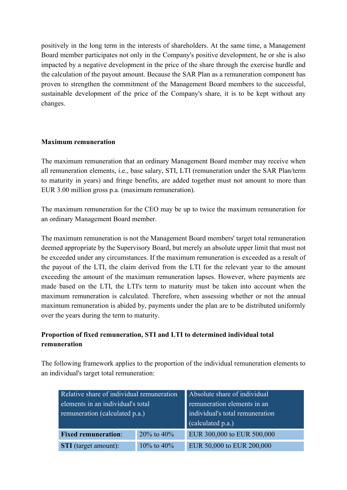positively in the long term in the interests of shareholders. At the same time, a Management Board member participates not only in the Company's positive development, he or she is also impacted by a negative development in the price of the share through the exercise hurdle and the calculation of the payout amount. Because the SAR Plan as a remuneration component has proven to strengthen the commitment of the Management Board members to the successful, sustainable development of the price of the Company's share, it is to be kept without any changes.

### **Maximum remuneration**

The maximum remuneration that an ordinary Management Board member may receive when all remuneration elements, i.e., base salary, STI, LTI (remuneration under the SAR Plan/term to maturity in years) and fringe benefits, are added together must not amount to more than EUR 3.00 million gross p.a. (maximum remuneration).

The maximum remuneration for the CEO may be up to twice the maximum remuneration for an ordinary Management Board member.

The maximum remuneration is not the Management Board members' target total remuneration deemed appropriate by the Supervisory Board, but merely an absolute upper limit that must not be exceeded under any circumstances. If the maximum remuneration is exceeded as a result of the payout of the LTI, the claim derived from the LTI for the relevant year to the amount exceeding the amount of the maximum remuneration lapses. However, where payments are made based on the LTI, the LTI's term to maturity must be taken into account when the maximum remuneration is calculated. Therefore, when assessing whether or not the annual maximum remuneration is abided by, payments under the plan are to be distributed uniformly over the years during the term to maturity.

# **Proportion of fixed remuneration, STI and LTI to determined individual total remuneration**

The following framework applies to the proportion of the individual remuneration elements to an individual's target total remuneration:

| Relative share of individual remuneration<br>elements in an individual's total<br>remuneration (calculated p.a.) |                  | Absolute share of individual<br>remuneration elements in an<br>individual's total remuneration<br>(calculated p.a.) |
|------------------------------------------------------------------------------------------------------------------|------------------|---------------------------------------------------------------------------------------------------------------------|
| <b>Fixed remuneration:</b>                                                                                       | 20% to $40%$     | EUR 300,000 to EUR 500,000                                                                                          |
| <b>STI</b> (target amount):                                                                                      | $10\%$ to $40\%$ | EUR 50,000 to EUR 200,000                                                                                           |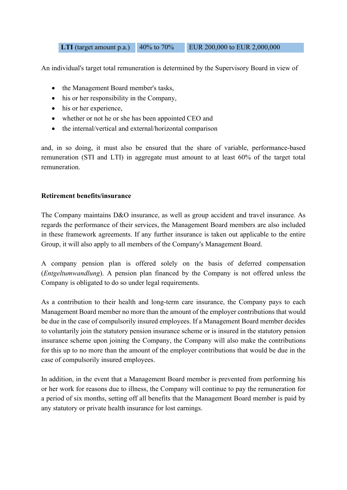**LTI** (target amount p.a.) 40% to 70% EUR 200,000 to EUR 2,000,000

An individual's target total remuneration is determined by the Supervisory Board in view of

- the Management Board member's tasks,
- his or her responsibility in the Company,
- his or her experience,
- whether or not he or she has been appointed CEO and
- the internal/vertical and external/horizontal comparison

and, in so doing, it must also be ensured that the share of variable, performance-based remuneration (STI and LTI) in aggregate must amount to at least 60% of the target total remuneration.

#### **Retirement benefits/insurance**

The Company maintains D&O insurance, as well as group accident and travel insurance. As regards the performance of their services, the Management Board members are also included in these framework agreements. If any further insurance is taken out applicable to the entire Group, it will also apply to all members of the Company's Management Board.

A company pension plan is offered solely on the basis of deferred compensation (*Entgeltumwandlung*). A pension plan financed by the Company is not offered unless the Company is obligated to do so under legal requirements.

As a contribution to their health and long-term care insurance, the Company pays to each Management Board member no more than the amount of the employer contributions that would be due in the case of compulsorily insured employees. If a Management Board member decides to voluntarily join the statutory pension insurance scheme or is insured in the statutory pension insurance scheme upon joining the Company, the Company will also make the contributions for this up to no more than the amount of the employer contributions that would be due in the case of compulsorily insured employees.

In addition, in the event that a Management Board member is prevented from performing his or her work for reasons due to illness, the Company will continue to pay the remuneration for a period of six months, setting off all benefits that the Management Board member is paid by any statutory or private health insurance for lost earnings.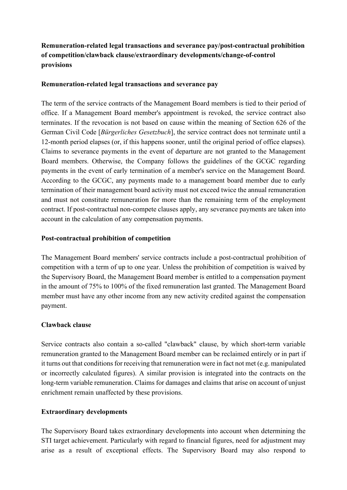# **Remuneration-related legal transactions and severance pay/post-contractual prohibition of competition/clawback clause/extraordinary developments/change-of-control provisions**

### **Remuneration-related legal transactions and severance pay**

The term of the service contracts of the Management Board members is tied to their period of office. If a Management Board member's appointment is revoked, the service contract also terminates. If the revocation is not based on cause within the meaning of Section 626 of the German Civil Code [*Bürgerliches Gesetzbuch*], the service contract does not terminate until a 12-month period elapses (or, if this happens sooner, until the original period of office elapses). Claims to severance payments in the event of departure are not granted to the Management Board members. Otherwise, the Company follows the guidelines of the GCGC regarding payments in the event of early termination of a member's service on the Management Board. According to the GCGC, any payments made to a management board member due to early termination of their management board activity must not exceed twice the annual remuneration and must not constitute remuneration for more than the remaining term of the employment contract. If post-contractual non-compete clauses apply, any severance payments are taken into account in the calculation of any compensation payments.

#### **Post-contractual prohibition of competition**

The Management Board members' service contracts include a post-contractual prohibition of competition with a term of up to one year. Unless the prohibition of competition is waived by the Supervisory Board, the Management Board member is entitled to a compensation payment in the amount of 75% to 100% of the fixed remuneration last granted. The Management Board member must have any other income from any new activity credited against the compensation payment.

### **Clawback clause**

Service contracts also contain a so-called "clawback" clause, by which short-term variable remuneration granted to the Management Board member can be reclaimed entirely or in part if it turns out that conditions for receiving that remuneration were in fact not met (e.g. manipulated or incorrectly calculated figures). A similar provision is integrated into the contracts on the long-term variable remuneration. Claims for damages and claims that arise on account of unjust enrichment remain unaffected by these provisions.

### **Extraordinary developments**

The Supervisory Board takes extraordinary developments into account when determining the STI target achievement. Particularly with regard to financial figures, need for adjustment may arise as a result of exceptional effects. The Supervisory Board may also respond to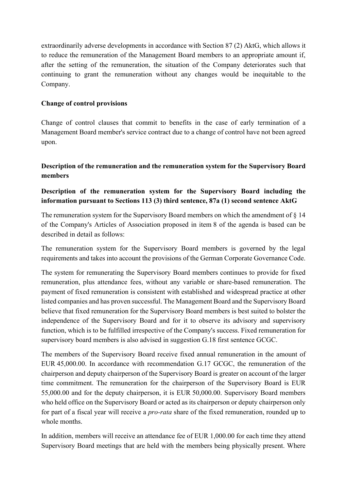extraordinarily adverse developments in accordance with Section 87 (2) AktG, which allows it to reduce the remuneration of the Management Board members to an appropriate amount if, after the setting of the remuneration, the situation of the Company deteriorates such that continuing to grant the remuneration without any changes would be inequitable to the Company.

### **Change of control provisions**

Change of control clauses that commit to benefits in the case of early termination of a Management Board member's service contract due to a change of control have not been agreed upon.

# **Description of the remuneration and the remuneration system for the Supervisory Board members**

# **Description of the remuneration system for the Supervisory Board including the information pursuant to Sections 113 (3) third sentence, 87a (1) second sentence AktG**

The remuneration system for the Supervisory Board members on which the amendment of § 14 of the Company's Articles of Association proposed in item 8 of the agenda is based can be described in detail as follows:

The remuneration system for the Supervisory Board members is governed by the legal requirements and takes into account the provisions of the German Corporate Governance Code.

The system for remunerating the Supervisory Board members continues to provide for fixed remuneration, plus attendance fees, without any variable or share-based remuneration. The payment of fixed remuneration is consistent with established and widespread practice at other listed companies and has proven successful. The Management Board and the Supervisory Board believe that fixed remuneration for the Supervisory Board members is best suited to bolster the independence of the Supervisory Board and for it to observe its advisory and supervisory function, which is to be fulfilled irrespective of the Company's success. Fixed remuneration for supervisory board members is also advised in suggestion G.18 first sentence GCGC.

The members of the Supervisory Board receive fixed annual remuneration in the amount of EUR 45,000.00. In accordance with recommendation G.17 GCGC, the remuneration of the chairperson and deputy chairperson of the Supervisory Board is greater on account of the larger time commitment. The remuneration for the chairperson of the Supervisory Board is EUR 55,000.00 and for the deputy chairperson, it is EUR 50,000.00. Supervisory Board members who held office on the Supervisory Board or acted as its chairperson or deputy chairperson only for part of a fiscal year will receive a *pro-rata* share of the fixed remuneration, rounded up to whole months.

In addition, members will receive an attendance fee of EUR 1,000.00 for each time they attend Supervisory Board meetings that are held with the members being physically present. Where